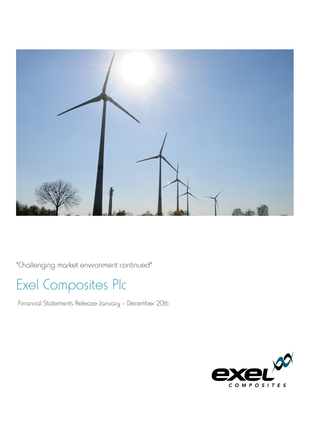

"Challenging market environment continued"

# Exel Composites Plc

Financial Statements Release January – December 2016

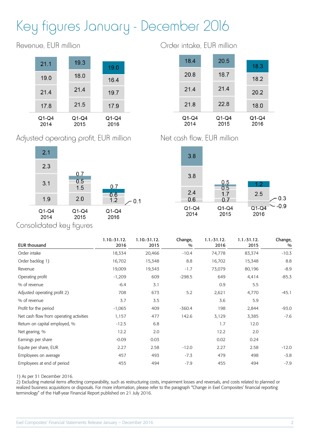# Key figures January - December 2016

Revenue, EUR million

| 21.1            | 19.3            | 19.0            |
|-----------------|-----------------|-----------------|
| 19.0            | 18.0            | 16.4            |
| 21.4            | 21.4            | 19.7            |
| 17.8            | 21.5            | 17.9            |
| $Q1-Q4$<br>2014 | $Q1-Q4$<br>2015 | $Q1-Q4$<br>2016 |

Order intake, EUR million

| 18.4          | 20.5          |               |  |
|---------------|---------------|---------------|--|
|               |               | 18.3          |  |
| 20.8          | 18.7          | 18.2          |  |
| 21.4          | 21.4          | 20.2          |  |
| 21.8          | 22.8          | 18.0          |  |
| Q1-Q4<br>2014 | Q1-Q4<br>2015 | Q1-Q4<br>2016 |  |

Adjusted operating profit, EUR million



Net cash flow, EUR million



### Consolidated key figures

| <b>EUR thousand</b>                     | 1.10.-31.12.<br>2016 | $1.10 - 31.12$ .<br>2015 | Change,<br>$\frac{0}{0}$ | $1.1 - 31.12.$<br>2016 | $1.1 - 31.12.$<br>2015 | Change,<br>$\frac{0}{0}$ |
|-----------------------------------------|----------------------|--------------------------|--------------------------|------------------------|------------------------|--------------------------|
| Order intake                            | 18,334               | 20,466                   | $-10.4$                  | 74,778                 | 83,374                 | $-10.3$                  |
| Order backlog 1)                        | 16,702               | 15,348                   | 8.8                      | 16,702                 | 15,348                 | 8.8                      |
| Revenue                                 | 19,009               | 19,343                   | $-1.7$                   | 73,079                 | 80,196                 | $-8.9$                   |
| Operating profit                        | $-1,209$             | 609                      | $-298.5$                 | 649                    | 4,414                  | $-85.3$                  |
| % of revenue                            | $-6.4$               | 3.1                      |                          | 0.9                    | 5.5                    |                          |
| Adjusted operating profit 2)            | 708                  | 673                      | 5.2                      | 2,621                  | 4,770                  | $-45.1$                  |
| % of revenue                            | 3.7                  | 3.5                      |                          | 3.6                    | 5.9                    |                          |
| Profit for the period                   | $-1,065$             | 409                      | $-360.4$                 | 198                    | 2,844                  | $-93.0$                  |
| Net cash flow from operating activities | 1,157                | 477                      | 142.6                    | 3,129                  | 3,385                  | $-7.6$                   |
| Return on capital employed, %           | $-12.5$              | 6.8                      |                          | 1.7                    | 12.0                   |                          |
| Net gearing, %                          | 12.2                 | 2.0                      |                          | 12.2                   | 2.0                    |                          |
| Earnings per share                      | $-0.09$              | 0.03                     |                          | 0.02                   | 0.24                   |                          |
| Equite per share, EUR                   | 2.27                 | 2.58                     | $-12.0$                  | 2.27                   | 2.58                   | $-12.0$                  |
| Employees on average                    | 457                  | 493                      | $-7.3$                   | 479                    | 498                    | $-3.8$                   |
| Employees at end of period              | 455                  | 494                      | $-7.9$                   | 455                    | 494                    | $-7.9$                   |

1) As per 31 December 2016.

2) Excluding material items affecting comparability, such as restructuring costs, impairment losses and reversals, and costs related to planned or realized business acquisitions or disposals. For more information, please refer to the paragraph "Change in Exel Composites' financial reporting terminology" of the Half-year Financial Report published on 21 July 2016.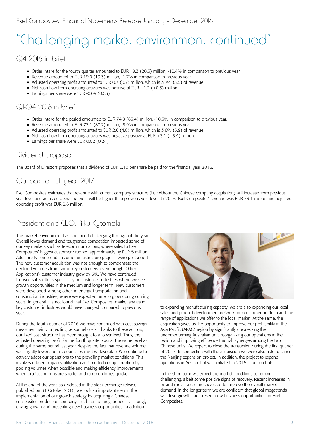# "Challenging market environment continued"

Q4 2016 in brief

- Order intake for the fourth quarter amounted to EUR 18.3 (20.5) million, -10.4% in comparison to previous year.
- Revenue amounted to EUR 19.0 (19.3) million, -1.7% in comparison to previous year.
- Adjusted operating profit amounted to EUR 0.7 (0.7) million, which is 3.7% (3.5) of revenue.
- $\bullet$  Net cash flow from operating activities was positive at EUR +1.2 (+0.5) million.
- Earnings per share were EUR -0.09 (0.03).

# Q1-Q4 2016 in brief

- Order intake for the period amounted to EUR 74.8 (83.4) million, -10.3% in comparison to previous year.
- Revenue amounted to EUR 73.1 (80.2) million, -8.9% in comparison to previous year.
- Adjusted operating profit amounted to EUR 2.6 (4.8) million, which is 3.6% (5.9) of revenue.
- Net cash flow from operating activities was negative positive at EUR +3.1 (+3.4) million.
- Earnings per share were EUR 0.02 (0.24).

#### Dividend proposal

The Board of Directors proposes that a dividend of EUR 0.10 per share be paid for the financial year 2016.

# Outlook for full year 2017

Exel Composites estimates that revenue with current company structure (i.e. without the Chinese company acquisition) will increase from previous year level and adjusted operating profit will be higher than previous year level. In 2016, Exel Composites' revenue was EUR 73.1 million and adjusted operating profit was EUR 2.6 million.

## President and CEO, Riku Kytömäki

The market environment has continued challenging throughout the year. Overall lower demand and toughened competition impacted some of our key markets such as telecommunications, where sales to Exel Composites' biggest customer dropped approximately by EUR 5 million. Additionally some end customer infrastructure projects were postponed. The new customer acquisition was not enough to compensate the declined volumes from some key customers, even though 'Other Applications'- customer industry grew by 6%. We have continued focused sales efforts specifically on customer industries where we see growth opportunities in the medium and longer term. New customers were developed, among other, in energy, transportation and construction industries, where we expect volume to grow during coming years. In general it is not found that Exel Composites' market shares in key customer industries would have changed compared to previous year.

During the fourth quarter of 2016 we have continued with cost savings measures mainly impacting personnel costs. Thanks to these actions, our fixed cost structure has been brought to a lower level. Thus, the adjusted operating profit for the fourth quarter was at the same level as during the same period last year, despite the fact that revenue volume was slightly lower and also our sales mix less favorable. We continue to actively adapt our operations to the prevailing market conditions. This involves efficient capacity utilization and production optimization by pooling volumes when possible and making efficiency improvements when production runs are shorter and ramp up times quicker.

At the end of the year, as disclosed in the stock exchange release published on 31 October 2016, we took an important step in the implementation of our growth strategy by acquiring a Chinese composites production company. In China the megatrends are strongly driving growth and presenting new business opportunities. In addition



to expanding manufacturing capacity, we are also expanding our local sales and product development network, our customer portfolio and the range of applications we offer to the local market. At the same, the acquisition gives us the opportunity to improve our profitability in the Asia Pacific (APAC) region by significantly down-sizing the underperforming Australian unit, reorganizing our operations in the region and improving efficiency through synergies among the two Chinese units. We expect to close the transaction during the first quarter of 2017. In connection with the acquisition we were also able to cancel the Nanjing expansion project. In addition, the project to expand operations in Austria that was initiated in 2015 is put on hold.

In the short term we expect the market conditions to remain challenging, albeit some positive signs of recovery. Recent increases in oil and metal prices are expected to improve the overall market demand. In the longer term we are confident that global megatrends will drive growth and present new business opportunities for Exel Composites.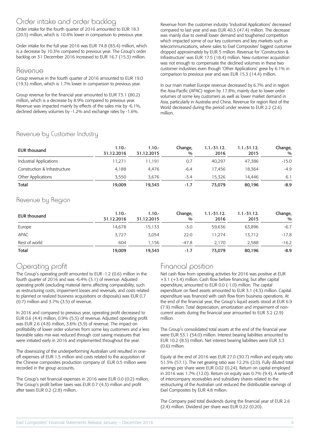#### Order intake and order backlog

Order intake for the fourth quarter of 2016 amounted to EUR 18.3 (20.5) million, which is 10.4% lower in comparison to previous year.

Order intake for the full year 2016 was EUR 74.8 (83.4) million, which is a decrease by 10.3% compared to previous year. The Group's order backlog on 31 December 2016 increased to EUR 16.7 (15.3) million.

#### Revenue

Group revenue in the fourth quarter of 2016 amounted to EUR 19.0 (19.3) million, which is 1.7% lower in comparison to previous year.

Group revenue for the financial year amounted to EUR 73.1 (80.2) million, which is a decrease by 8.9% compared to previous year. Revenue was impacted mainly by effects of the sales mix by -6.1%, declined delivery volumes by -1.2% and exchange rates by -1.6%.

Revenue from the customer industry 'Industrial Applications' decreased compared to last year and was EUR 40.3 (47.4) million. The decrease was mainly due to overall lower demand and toughened competition which impacted some of our key customers and key markets such as telecommunications, where sales to Exel Composites' biggest customer dropped approximately by EUR 5 million. Revenue for 'Construction & Infrastructure' was EUR 17.5 (18.4) million. New customer acquisition was not enough to compensate the declined volumes in these two customer industries even though 'Other Applications' grew by 6.1% in comparison to previous year and was EUR 15.3 (14.4) million.

In our main market Europe revenue decreased by 6.7% and in region the Asia-Pacific (APAC) region by 17.8%, mainly due to lower order volumes of some key customers as well as lower market demand in Asia, particularly in Australia and China. Revenue for region Rest of the World decreased during the period under review to EUR 2.2 (2.6) million.

#### Revenue by Customer Industry

| EUR thousand                  | $1.10 -$<br>31.12.2016 | $1.10 -$<br>31.12.2015 | Change,<br>$\frac{0}{0}$ | $1.1 - 31.12.$<br>2016 | $1.1 - 31.12.$<br>2015 | Change,<br>$\frac{0}{0}$ |
|-------------------------------|------------------------|------------------------|--------------------------|------------------------|------------------------|--------------------------|
| Industrial Applications       | 11.271                 | 11.191                 | 0.7                      | 40.297                 | 47.386                 | $-15.0$                  |
| Construction & Infrastructure | 4.188                  | 4.476                  | $-6.4$                   | 17.456                 | 18.364                 | $-4.9$                   |
| Other Applications            | 3.550                  | 3.676                  | $-3.4$                   | 15.326                 | 14.446                 | 6.1                      |
| Total                         | 19.009                 | 19,343                 | $-1.7$                   | 73,079                 | 80,196                 | $-8.9$                   |

#### Revenue by Region

| EUR thousand  | $1.10 -$<br>31.12.2016 | $1.10 -$<br>31.12.2015 | Change,<br>% | $1.1 - 31.12.$<br>2016 | $1.1 - 31.12.$<br>2015 | Change,<br>$\frac{0}{0}$ |
|---------------|------------------------|------------------------|--------------|------------------------|------------------------|--------------------------|
| Europe        | 14.678                 | 15,133                 | $-3.0$       | 59,636                 | 63,896                 | $-6.7$                   |
| APAC          | 3,727                  | 3,054                  | 22.0         | 11.274                 | 13,712                 | $-17.8$                  |
| Rest of world | 604                    | 1.156                  | $-47.8$      | 2,170                  | 2.588                  | $-16.2$                  |
| <b>Total</b>  | 19,009                 | 19,343                 | $-1.7$       | 73,079                 | 80,196                 | $-8.9$                   |

# Operating profit

The Group's operating profit amounted to EUR -1.2 (0.6) million in the fourth quarter of 2016 and was -6.4% (3.1) of revenue. Adjusted operating profit (excluding material items affecting comparability, such as restructuring costs, impairment losses and reversals, and costs related to planned or realized business acquisitions or disposals) was EUR 0.7 (0.7) million and 3.7% (3.5) of revenue.

In 2016 and compared to previous year, operating profit decreased to EUR 0.6 (4.4) million, 0.9% (5.5) of revenue. Adjusted operating profit was EUR 2.6 (4.8) million, 3.6% (5.9) of revenue. The impact on profitability of lower order volumes from some key customers and a less favorable sales mix was reduced through cost saving measures that were initiated early in 2016 and implemented throughout the year.

The downsizing of the underperforming Australian unit resulted in oneoff expenses of EUR 1.5 million and costs related to the acquisition of the Chinese composites production company of EUR 0.5 million were recorded in the group accounts.

The Group's net financial expenses in 2016 were EUR 0.0 (0.2) million. The Group's profit before taxes was EUR 0.7 (4.3) million and profit after taxes EUR 0.2 (2.8) million.

# Financial position

Net cash flow from operating activities for 2016 was positive at EUR +3.1 (+3.4) million. Cash flow before financing, but after capital expenditure, amounted to EUR 0.0 (-1.0) million. The capital expenditure on fixed assets amounted to EUR 3.1 (4.3) million. Capital expenditure was financed with cash flow from business operations. At the end of the financial year, the Group's liquid assets stood at EUR 6.9 (7.9) million. Total depreciation, amortization and impairment of noncurrent assets during the financial year amounted to EUR 3.2 (2.9) million.

The Group's consolidated total assets at the end of the financial year were EUR 53.1 (54.0) million. Interest bearing liabilities amounted to EUR 10.2 (8.5) million. Net interest bearing liabilities were EUR 3.3 (0.6) million.

Equity at the end of 2016 was EUR 27.0 (30.7) million and equity ratio 51.3% (57.1). The net gearing ratio was 12.2% (2.0). Fully diluted total earnings per share were EUR 0.02 (0.24). Return on capital employed in 2016 was 1.7% (12.0). Return on equity was 0.7% (9.4). A write-off of intercompany receivables and subsidiary shares related to the restructuring of the Australian unit reduced the distributable earnings of Exel Composites by EUR 4.8 million.

The Company paid total dividends during the financial year of EUR 2.6 (2.4) million. Dividend per share was EUR 0.22 (0.20).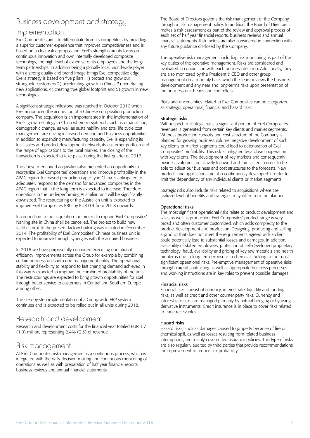## Business development and strategy

#### implementation

Exel Composites aims to differentiate from its competitors by providing a superior customer experience that improves competitiveness and is based on a clear value proposition. Exel's strengths are its focus on continuous innovation and own internally developed composite technology, the high level of expertise of its employees and the longterm partnerships. In addition being a globally local, world-wide player with a strong quality and brand image brings Exel competitive edge. Exel's strategy is based on five pillars: 1) protect and grow our stronghold customers 2) accelerating growth in China, 3) penetrating new applications, 4) creating true global footprint and 5) growth in new technologies.

A significant strategic milestone was reached in October 2016 when Exel announced the acquisition of a Chinese composition production company. The acquisition is an important step in the implementation of Exel's growth strategy in China where megatrends such as urbanization, demographic change, as well as sustainability and total life cycle cost management are driving increased demand and business opportunities. In addition to expanding manufacturing capacity, Exel is expanding its local sales and product development network, its customer portfolio and the range of applications to the local market. The closing of the transaction is expected to take place during the first quarter of 2017.

The above mentioned acquisition also presented an opportunity to reorganize Exel Composites' operations and improve profitability in the APAC region. Increased production capacity in China is anticipated to adequately respond to the demand for advanced composites in the APAC region that in the long term is expected to increase. Therefore operations in the underperforming Australian unit will be significantly downsized. The restructuring of the Australian unit is expected to improve Exel Composites EBIT by EUR 0.9 from 2018 onwards.

In connection to the acquisition the project to expand Exel Composites' Nanjing site in China shall be cancelled. The project to build new facilities next to the present factory building was initiated in December 2014. The profitability of Exel Composites' Chinese business unit is expected to improve through synergies with the acquired business.

In 2016 we have purposefully continued executing operational efficiency improvements across the Group for example by combining certain business units into one management entity. The operational stability and flexibility to respond to fast changing demand achieved in this way is expected to improve the combined profitability of the units. The restructurings are expected to bring growth opportunities for Exel through better service to customers in Central and Southern Europe among other.

The step-by-step implementation of a Group-wide ERP system continues and is expected to be rolled out in all units during 2018.

#### Research and development

Research and development costs for the financial year totaled EUR 1.7 (1.9) million, representing 2.4% (2.3) of revenue.

#### Risk management

At Exel Composites risk management is a continuous process, which is integrated with the daily decision making and continuous monitoring of operations as well as with preparation of half year financial reports, business reviews and annual financial statements.

The Board of Directors governs the risk management of the Company through a risk management policy. In addition, the Board of Directors makes a risk assessment as part of the review and approval process of each set of half year financial reports, business reviews and annual financial statements. Risk factors are also considered in connection with any future guidance disclosed by the Company.

The operative risk management, including risk monitoring, is part of the key duties of the operative management. Risks are considered and evaluated in conjunction with each business decision. Additionally, they are also monitored by the President & CEO and other group management on a monthly basis when the team reviews the business development and any near and long-terms risks upon presentation of the business unit heads and controllers.

Risks and uncertainties related to Exel Composites can be categorized as strategic, operational, financial and hazard risks.

#### Strategic risks

With respect to strategic risks, a significant portion of Exel Composites' revenues is generated from certain key clients and market segments. Whereas production capacity and cost structure of the Company is planned for growing business volume, negative development of such key clients or market segments could lead to deterioration of Exel Composites' profitability. This risk is mitigated by a close cooperation with key clients. The development of key markets and consequently business volumes are actively followed and forecasted in order to be able to adjust our business and cost structures to the forecasts. New products and applications are also continuously developed in order to limit the dependency of any individual clients or market segments.

Strategic risks also include risks related to acquisitions where the realized level of benefits and synergies may differ from the planned.

#### Operational risks

The most significant operational risks relate to product development and sales as well as production. Exel Composites' product range is very broad and often customer customized, which adds complexity to the product development and production. Designing, producing and selling a product that does not meet the requirements agreed with a client could potentially lead to substantial losses and damages. In addition, availability of skilled employees, protection of self-developed proprietary technology, fraud, availability and pricing of key raw materials and health problems due to long-term exposure to chemicals belong to the most significant operational risks. Pre-emptive management of operative risks through careful contracting as well as appropriate business processes and working instructions are in key roles to prevent possible damages.

#### Financial risks

Financial risks consist of currency, interest rate, liquidity and funding risks, as well as credit and other counter party risks. Currency and interest rate risks are managed primarily by natural hedging or by using derivative instruments. Credit insurance is in place to cover risks related to trade receivables.

#### Hazard risks

Hazard risks, such as damages caused to property because of fire or chemical spill, as well as losses resulting from related business interruptions, are mainly covered by insurance policies. This type of risks are also regularly audited by third parties that provide recommendations for improvement to reduce risk probability.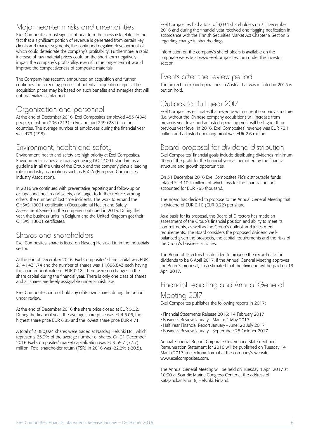#### Major near-term risks and uncertainties

Exel Composites' most significant near-term business risk relates to the fact that a significant portion of revenue is generated from certain key clients and market segments, the continued negative development of which could deteriorate the company's profitability. Furthermore, a rapid increase of raw material prices could on the short term negatively impact the company's profitability, even if in the longer term it would improve the competitiveness of composite materials.

The Company has recently announced an acquisition and further continues the screening process of potential acquisition targets. The acquisition prices may be based on such benefits and synergies that will not materialize as planned.

### Organization and personnel

At the end of December 2016, Exel Composites employed 455 (494) people, of whom 206 (213) in Finland and 249 (281) in other countries. The average number of employees during the financial year was 479 (498).

#### Environment, health and safety

Environment, health and safety are high priority at Exel Composites. Environmental issues are managed using ISO 14001 standard as a guideline in all the units of the Group and the company plays a leading role in industry associations such as EuCIA (European Composites Industry Association).

In 2016 we continued with preventative reporting and follow-up on occupational health and safety, and target to further reduce, among others, the number of lost time incidents. The work to expand the OHSAS 18001 certification (Occupational Health and Safety Assessment Series) in the company continued in 2016. During the year, the business units in Belgium and the United Kingdom got their OHSAS 18001 certificates.

### Shares and shareholders

Exel Composites' share is listed on Nasdaq Helsinki Ltd in the Industrials sector.

At the end of December 2016, Exel Composites' share capital was EUR 2,141,431.74 and the number of shares was 11,896,843 each having the counter-book value of EUR 0.18. There were no changes in the share capital during the financial year. There is only one class of shares and all shares are freely assignable under Finnish law.

Exel Composites did not hold any of its own shares during the period under review.

At the end of December 2016 the share price closed at EUR 5.02. During the financial year, the average share price was EUR 5.05, the highest share price EUR 6.85 and the lowest share price EUR 4.71.

A total of 3,080,024 shares were traded at Nasdaq Helsinki Ltd., which represents 25.9% of the average number of shares. On 31 December 2016 Exel Composites' market capitalization was EUR 59.7 (77.7) million. Total shareholder return (TSR) in 2016 was -22.2% (-20.5).

Exel Composites had a total of 3,034 shareholders on 31 December 2016 and during the financial year received one flagging notification in accordance with the Finnish Securities Market Act Chapter 9 Section 5 regarding change in shareholdings.

Information on the company's shareholders is available on the corporate website at www.exelcomposites.com under the Investor section.

#### Events after the review period

The project to expand operations in Austria that was initiated in 2015 is put on hold.

## Outlook for full year 2017

Exel Composites estimates that revenue with current company structure (i.e. without the Chinese company acquisition) will increase from previous year level and adjusted operating profit will be higher than previous year level. In 2016, Exel Composites' revenue was EUR 73.1 million and adjusted operating profit was EUR 2.6 million.

#### Board proposal for dividend distribution

Exel Composites' financial goals include distributing dividends minimum 40% of the profit for the financial year as permitted by the financial structure and growth opportunities.

On 31 December 2016 Exel Composites Plc's distributable funds totaled EUR 10.4 million, of which loss for the financial period accounted for EUR 765 thousand.

The Board has decided to propose to the Annual General Meeting that a dividend of EUR 0.10 (EUR 0.22) per share.

As a basis for its proposal, the Board of Directors has made an assessment of the Group's financial position and ability to meet its commitments, as well as the Group's outlook and investment requirements. The Board considers the proposed dividend wellbalanced given the prospects, the capital requirements and the risks of the Group's business activities.

The Board of Directors has decided to propose the record date for dividends to be 6 April 2017. If the Annual General Meeting approves the Board's proposal, it is estimated that the dividend will be paid on 13 April 2017.

# Financial reporting and Annual General

#### Meeting 2017

Exel Composites publishes the following reports in 2017:

- Financial Statements Release 2016: 14 February 2017
- Business Review January March: 4 May 2017
- Half Year Financial Report January June: 20 July 2017
- Business Review January September: 25 October 2017

Annual Financial Report, Corporate Governance Statement and Remuneration Statement for 2016 will be published on Tuesday 14 March 2017 in electronic format at the company's website www.exelcomposites.com.

The Annual General Meeting will be held on Tuesday 4 April 2017 at 10:00 at Scandic Marina Congress Center at the address of Katajanokanlaituri 6, Helsinki, Finland.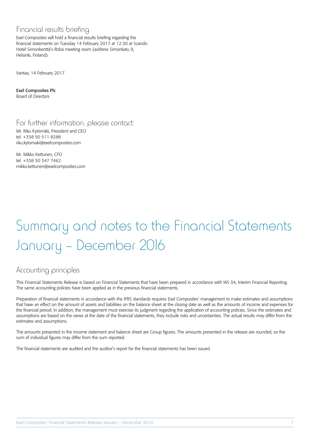### Financial results briefing

Exel Composites will hold a financial results briefing regarding the financial statements on Tuesday 14 February 2017 at 12:30 at Scandic Hotel Simonkenttä's Roba meeting room (address Simonkatu 9, Helsinki, Finland).

Vantaa, 14 February 2017

Exel Composites Plc Board of Directors

For further information, please contact:

Mr. Riku Kytömäki, President and CEO tel. +358 50 511 8288 riku.kytomaki@exelcomposites.com

Mr. Mikko Kettunen, CFO tel. +358 50 347 7462 mikko.kettunen@exelcomposites.com

# Summary and notes to the Financial Statements January – December 2016

### Accounting principles

This Financial Statements Release is based on Financial Statements that have been prepared in accordance with IAS 34, Interim Financial Reporting. The same accounting policies have been applied as in the previous financial statements.

Preparation of financial statements in accordance with the IFRS standards requires Exel Composites' management to make estimates and assumptions that have an effect on the amount of assets and liabilities on the balance sheet at the closing date as well as the amounts of income and expenses for the financial period. In addition, the management must exercise its judgment regarding the application of accounting policies. Since the estimates and assumptions are based on the views at the date of the financial statements, they include risks and uncertainties. The actual results may differ from the estimates and assumptions.

The amounts presented in the income statement and balance sheet are Group figures. The amounts presented in the release are rounded, so the sum of individual figures may differ from the sum reported.

The financial statements are audited and the auditor's report for the financial statements has been issued.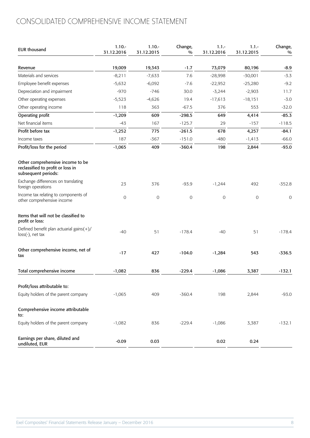# CONSOLIDATED COMPREHENSIVE INCOME STATEMENT

| <b>EUR thousand</b>                                                                          | $1.10 -$<br>31.12.2016 | $1.10 -$<br>31.12.2015 | Change,<br>0/0 | $1.1 -$<br>31.12.2016 | $1.1 -$<br>31.12.2015 | Change,<br>$\frac{0}{0}$ |
|----------------------------------------------------------------------------------------------|------------------------|------------------------|----------------|-----------------------|-----------------------|--------------------------|
| Revenue                                                                                      | 19,009                 | 19,343                 | $-1.7$         | 73,079                | 80,196                | $-8.9$                   |
| Materials and services                                                                       | $-8,211$               | $-7,633$               | 7.6            | $-28,998$             | $-30,001$             | $-3.3$                   |
| Employee benefit expenses                                                                    | $-5,632$               | $-6,092$               | $-7.6$         | $-22,952$             | $-25,280$             | $-9.2$                   |
| Depreciation and impairment                                                                  | $-970$                 | $-746$                 | 30.0           | $-3,244$              | $-2,903$              | 11.7                     |
| Other operating expenses                                                                     | $-5,523$               | $-4,626$               | 19.4           | $-17,613$             | $-18,151$             | $-3.0$                   |
| Other operating income                                                                       | 118                    | 363                    | $-67.5$        | 376                   | 553                   | $-32.0$                  |
| Operating profit                                                                             | $-1,209$               | 609                    | $-298.5$       | 649                   | 4,414                 | $-85.3$                  |
| Net financial items                                                                          | $-43$                  | 167                    | $-125.7$       | 29                    | $-157$                | $-118.5$                 |
| Profit before tax                                                                            | $-1,252$               | 775                    | $-261.5$       | 678                   | 4,257                 | $-84.1$                  |
| Income taxes                                                                                 | 187                    | $-367$                 | $-151.0$       | $-480$                | $-1,413$              | $-66.0$                  |
| Profit/loss for the period                                                                   | $-1,065$               | 409                    | $-360.4$       | 198                   | 2,844                 | $-93.0$                  |
| Other comprehensive income to be<br>reclassified to profit or loss in<br>subsequent periods: |                        |                        |                |                       |                       |                          |
| Exchange differences on translating<br>foreign operations                                    | 23                     | 376                    | $-93.9$        | $-1,244$              | 492                   | $-352.8$                 |
| Income tax relating to components of<br>other comprehensive income                           | $\mathsf{O}\xspace$    | $\mathsf{O}\xspace$    | $\mathsf O$    | 0                     | $\mathsf O$           | 0                        |
| Items that will not be classified to<br>profit or loss:                                      |                        |                        |                |                       |                       |                          |
| Defined benefit plan actuarial gains(+)/<br>$loss(-)$ , net tax                              | $-40$                  | 51                     | $-178.4$       | $-40$                 | 51                    | $-178.4$                 |
| Other comprehensive income, net of<br>tax                                                    | $-17$                  | 427                    | $-104.0$       | $-1,284$              | 543                   | $-336.5$                 |
| Total comprehensive income                                                                   | $-1,082$               | 836                    | $-229.4$       | $-1,086$              | 3,387                 | $-132.1$                 |
| Profit/loss attributable to:                                                                 |                        |                        |                |                       |                       |                          |
| Equity holders of the parent company                                                         | $-1,065$               | 409                    | $-360.4$       | 198                   | 2,844                 | $-93.0$                  |
| Comprehensive income attributable<br>to:                                                     |                        |                        |                |                       |                       |                          |
| Equity holders of the parent company                                                         | $-1,082$               | 836                    | $-229.4$       | $-1,086$              | 3,387                 | $-132.1$                 |
| Earnings per share, diluted and<br>undiluted, EUR                                            | $-0.09$                | 0.03                   |                | 0.02                  | 0.24                  |                          |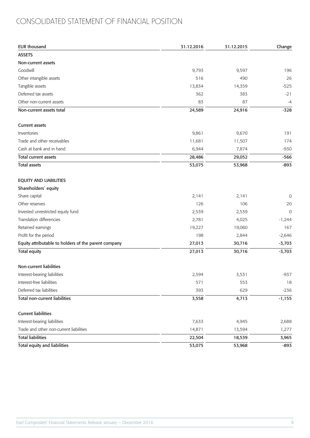# CONSOLIDATED STATEMENT OF FINANCIAL POSITION

| <b>EUR thousand</b>                                  | 31.12.2016 | 31.12.2015 | Change      |
|------------------------------------------------------|------------|------------|-------------|
| <b>ASSETS</b>                                        |            |            |             |
| Non-current assets                                   |            |            |             |
| Goodwill                                             | 9,793      | 9,597      | 196         |
| Other intangible assets                              | 516        | 490        | 26          |
| Tangible assets                                      | 13,834     | 14,359     | $-525$      |
| Deferred tax assets                                  | 362        | 383        | $-21$       |
| Other non-current assets                             | 83         | 87         | $-4$        |
| Non-current assets total                             | 24,589     | 24,916     | $-328$      |
| <b>Current assets</b>                                |            |            |             |
| Inventories                                          | 9,861      | 9,670      | 191         |
| Trade and other receivables                          | 11,681     | 11,507     | 174         |
| Cash at bank and in hand                             | 6,944      | 7,874      | $-930$      |
| <b>Total current assets</b>                          | 28,486     | 29,052     | $-566$      |
| <b>Total assets</b>                                  | 53,075     | 53,968     | $-893$      |
| <b>EQUITY AND LIABILITIES</b>                        |            |            |             |
| Shareholders' equity                                 |            |            |             |
| Share capital                                        | 2,141      | 2,141      | 0           |
| Other reserves                                       | 126        | 106        | 20          |
| Invested unrestricted equity fund                    | 2,539      | 2,539      | $\mathbf 0$ |
| Translation differencies                             | 2,781      | 4,025      | $-1,244$    |
| Retained earnings                                    | 19,227     | 19,060     | 167         |
| Profit for the period                                | 198        | 2,844      | $-2,646$    |
| Equity attributable to holders of the parent company | 27,013     | 30,716     | $-3,703$    |
| <b>Total equity</b>                                  | 27,013     | 30,716     | $-3,703$    |
| Non-current liabilities                              |            |            |             |
| Interest-bearing liabilities                         | 2,594      | 3,531      | -937        |
| Interest-free liabilities                            | 571        | 553        | 18          |
| Deferred tax liabilities                             | 393        | 629        | $-236$      |
| <b>Total non-current liabilities</b>                 | 3,558      | 4,713      | $-1,155$    |
| <b>Current liabilities</b>                           |            |            |             |
| Interest-bearing liabilities                         | 7,633      | 4,945      | 2,688       |
| Trade and other non-current liabilities              | 14,871     | 13,594     | 1,277       |
| <b>Total liabilities</b>                             | 22,504     | 18,539     | 3,965       |
| <b>Total equity and liabilities</b>                  | 53,075     | 53,968     | $-893$      |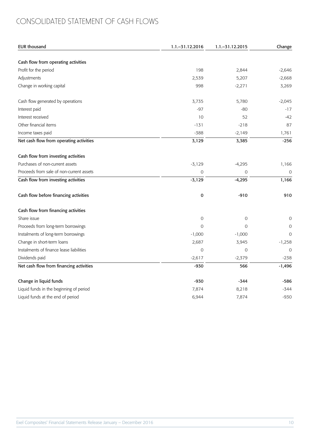# CONSOLIDATED STATEMENT OF CASH FLOWS

| <b>EUR thousand</b>                      | 1.1. - 31.12.2016 | 1.1. - 31.12.2015 | Change        |
|------------------------------------------|-------------------|-------------------|---------------|
|                                          |                   |                   |               |
| Cash flow from operating activities      |                   |                   |               |
| Profit for the period                    | 198               | 2,844             | $-2,646$      |
| Adjustments                              | 2,539             | 5,207             | $-2,668$      |
| Change in working capital                | 998               | $-2,271$          | 3,269         |
| Cash flow generated by operations        | 3,735             | 5,780             | $-2,045$      |
| Interest paid                            | $-97$             | $-80$             | $-17$         |
| Interest received                        | 10                | 52                | $-42$         |
| Other financial items                    | $-131$            | $-218$            | 87            |
| Income taxes paid                        | $-388$            | $-2,149$          | 1,761         |
| Net cash flow from operating activities  | 3,129             | 3,385             | $-256$        |
| Cash flow from investing activities      |                   |                   |               |
| Purchases of non-current assets          | $-3,129$          | $-4,295$          | 1,166         |
| Proceeds from sale of non-current assets | 0                 | 0                 | $\mathbf 0$   |
| Cash flow from investing activities      | $-3,129$          | $-4,295$          | 1,166         |
| Cash flow before financing activities    | 0                 | $-910$            | 910           |
| Cash flow from financing activities      |                   |                   |               |
| Share issue                              | 0                 | 0                 | $\mathbf 0$   |
| Proceeds from long-term borrowings       | 0                 | 0                 | $\mathbf 0$   |
| Instalments of long-term borrowings      | $-1,000$          | $-1,000$          | $\mathbf 0$   |
| Change in short-term loans               | 2,687             | 3,945             | $-1,258$      |
| Instalments of finance lease liabilities | 0                 | $\mathcal{O}$     | $\mathcal{O}$ |
| Dividends paid                           | $-2,617$          | $-2,379$          | $-238$        |
| Net cash flow from financing activities  | $-930$            | 566               | $-1,496$      |
| Change in liquid funds                   | $-930$            | $-344$            | -586          |
| Liquid funds in the beginning of period  | 7,874             | 8,218             | -344          |
| Liquid funds at the end of period        | 6,944             | 7,874             | $-930$        |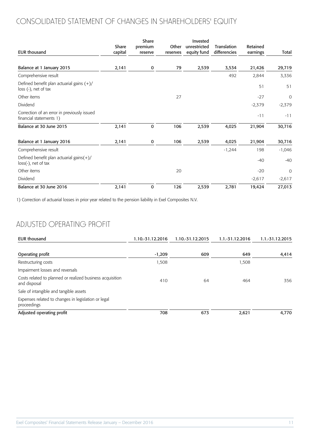# CONSOLIDATED STATEMENT OF CHANGES IN SHAREHOLDERS' EQUITY

|                                                                        | Share   | Share<br>premium | Other    | Invested<br>unrestricted | <b>Translation</b> | Retained |             |
|------------------------------------------------------------------------|---------|------------------|----------|--------------------------|--------------------|----------|-------------|
| <b>EUR thousand</b>                                                    | capital | reserve          | reserves | equity fund              | differencies       | earnings | Total       |
| Balance at 1 January 2015                                              | 2,141   | 0                | 79       | 2,539                    | 3,534              | 21,426   | 29,719      |
| Comprehensive result                                                   |         |                  |          |                          | 492                | 2,844    | 3,336       |
| Defined benefit plan actuarial gains $(+)/$<br>loss (-), net of tax    |         |                  |          |                          |                    | 51       | 51          |
| Other items                                                            |         |                  | 27       |                          |                    | $-27$    | $\circ$     |
| Dividend                                                               |         |                  |          |                          |                    | $-2,379$ | $-2,379$    |
| Correction of an error in previously issued<br>financial statements 1) |         |                  |          |                          |                    | $-11$    | $-11$       |
| Balance at 30 June 2015                                                | 2,141   | 0                | 106      | 2,539                    | 4,025              | 21,904   | 30,716      |
| Balance at 1 January 2016                                              | 2,141   | 0                | 106      | 2,539                    | 4,025              | 21,904   | 30,716      |
| Comprehensive result                                                   |         |                  |          |                          | $-1,244$           | 198      | $-1,046$    |
| Defined benefit plan actuarial gains $(+)$ /<br>loss(-), net of tax    |         |                  |          |                          |                    | $-40$    | $-40$       |
| Other items                                                            |         |                  | 20       |                          |                    | $-20$    | $\mathbf 0$ |
| Dividend                                                               |         |                  |          |                          |                    | $-2,617$ | $-2,617$    |
| Balance at 30 June 2016                                                | 2,141   | 0                | 126      | 2,539                    | 2,781              | 19,424   | 27,013      |

1) Correction of actuarial losses in prior year related to the pension liability in Exel Composites N.V.

## ADJUSTED OPERATING PROFIT

| <b>EUR thousand</b>                                                       | 1.10.-31.12.2016 | 1.10.-31.12.2015 | 1.1.-31.12.2016 | 1.1.-31.12.2015 |
|---------------------------------------------------------------------------|------------------|------------------|-----------------|-----------------|
| Operating profit                                                          | $-1,209$         | 609              | 649             | 4,414           |
| Restructuring costs                                                       | 1,508            |                  | 1,508           |                 |
| Impairment losses and reversals                                           |                  |                  |                 |                 |
| Costs related to planned or realized business acquisition<br>and disposal | 410              | 64               | 464             | 356             |
| Sale of intangible and tangible assets                                    |                  |                  |                 |                 |
| Expenses related to changes in legislation or legal<br>proceedings        |                  |                  |                 |                 |
| Adjusted operating profit                                                 | 708              | 673              | 2,621           | 4,770           |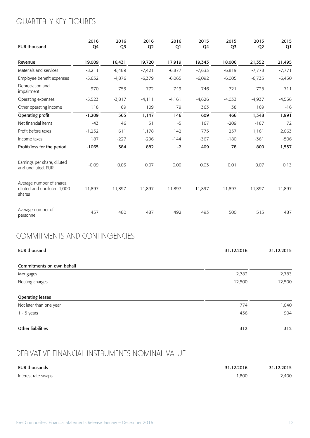# QUARTERLY KEY FIGURES

| <b>EUR thousand</b>                                                | 2016<br>Q4 | 2016<br>Q <sub>3</sub> | 2016<br>Q2 | 2016<br>Q1 | 2015<br>Q <sub>4</sub> | 2015<br>Q <sub>3</sub> | 2015<br>Q <sub>2</sub> | 2015<br>Q1 |
|--------------------------------------------------------------------|------------|------------------------|------------|------------|------------------------|------------------------|------------------------|------------|
|                                                                    |            |                        |            |            |                        |                        |                        |            |
| Revenue                                                            | 19,009     | 16,431                 | 19,720     | 17,919     | 19,343                 | 18,006                 | 21,352                 | 21,495     |
| Materials and services                                             | $-8,211$   | $-6,489$               | $-7,421$   | $-6,877$   | $-7,633$               | $-6,819$               | $-7,778$               | $-7,771$   |
| Employee benefit expenses                                          | $-5,632$   | $-4,876$               | $-6,379$   | $-6,065$   | $-6,092$               | $-6,005$               | $-6,733$               | $-6,450$   |
| Depreciation and<br>impairment                                     | $-970$     | $-753$                 | $-772$     | $-749$     | $-746$                 | $-721$                 | $-725$                 | $-711$     |
| Operating expenses                                                 | $-5,523$   | $-3,817$               | $-4, 111$  | $-4,161$   | $-4,626$               | $-4,033$               | $-4,937$               | $-4,556$   |
| Other operating income                                             | 118        | 69                     | 109        | 79         | 363                    | 38                     | 169                    | $-16$      |
| Operating profit                                                   | $-1,209$   | 565                    | 1,147      | 146        | 609                    | 466                    | 1,348                  | 1,991      |
| Net financial items                                                | $-43$      | 46                     | 31         | $-5$       | 167                    | $-209$                 | $-187$                 | 72         |
| Profit before taxes                                                | $-1,252$   | 611                    | 1,178      | 142        | 775                    | 257                    | 1,161                  | 2,063      |
| Income taxes                                                       | 187        | $-227$                 | $-296$     | $-144$     | $-367$                 | $-180$                 | $-361$                 | $-506$     |
| Profit/loss for the period                                         | $-1065$    | 384                    | 882        | $-2$       | 409                    | 78                     | 800                    | 1,557      |
| Earnings per share, diluted<br>and undiluted, EUR                  | $-0.09$    | 0.03                   | 0.07       | 0.00       | 0.03                   | 0.01                   | 0.07                   | 0.13       |
| Average number of shares,<br>diluted and undiluted 1,000<br>shares | 11,897     | 11,897                 | 11,897     | 11,897     | 11,897                 | 11,897                 | 11,897                 | 11,897     |
| Average number of<br>personnel                                     | 457        | 480                    | 487        | 492        | 493                    | 500                    | 513                    | 487        |

# COMMITMENTS AND CONTINGENCIES

| <b>EUR thousand</b>       | 31.12.2016 | 31.12.2015 |
|---------------------------|------------|------------|
| Commitments on own behalf |            |            |
| Mortgages                 | 2,783      | 2,783      |
| Floating charges          | 12,500     | 12,500     |
| <b>Operating leases</b>   |            |            |
| Not later than one year   | 774        | 1,040      |
| $1 - 5$ years             | 456        | 904        |
| Other liabilities         | 312        | 312        |

# DERIVATIVE FINANCIAL INSTRUMENTS NOMINAL VALUE

| EUR thousands       | 31.12.2016 | 31.12.2015 |
|---------------------|------------|------------|
| Interest rate swaps | 1,800      | .400       |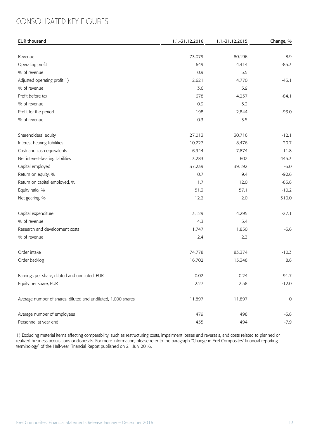## CONSOLIDATED KEY FIGURES

| <b>EUR thousand</b>                                           | 1.1.-31.12.2016 | 1.1.-31.12.2015 | Change, %   |
|---------------------------------------------------------------|-----------------|-----------------|-------------|
|                                                               |                 |                 |             |
| Revenue                                                       | 73,079          | 80,196          | $-8.9$      |
| Operating profit                                              | 649             | 4,414           | $-85.3$     |
| % of revenue                                                  | 0.9             | 5.5             |             |
| Adjusted operating profit 1)                                  | 2,621           | 4,770           | $-45.1$     |
| % of revenue                                                  | 3.6             | 5.9             |             |
| Profit before tax                                             | 678             | 4,257           | $-84.1$     |
| % of revenue                                                  | 0.9             | 5.3             |             |
| Profit for the period                                         | 198             | 2,844           | $-93.0$     |
| % of revenue                                                  | 0.3             | 3.5             |             |
| Shareholders' equity                                          | 27,013          | 30,716          | $-12.1$     |
| Interest-bearing liabilities                                  | 10,227          | 8,476           | 20.7        |
| Cash and cash equivalents                                     | 6,944           | 7,874           | $-11.8$     |
| Net interest-bearing liabilities                              | 3,283           | 602             | 445.3       |
| Capital employed                                              | 37,239          | 39,192          | $-5.0$      |
| Return on equity, %                                           | 0.7             | 9.4             | $-92.6$     |
| Return on capital employed, %                                 | 1.7             | 12.0            | $-85.8$     |
| Equity ratio, %                                               | 51.3            | 57.1            | $-10.2$     |
| Net gearing, %                                                | 12.2            | 2.0             | 510.0       |
| Capital expenditure                                           | 3,129           | 4,295           | $-27.1$     |
| % of revenue                                                  | 4.3             | 5.4             |             |
| Research and development costs                                | 1,747           | 1,850           | $-5.6$      |
| % of revenue                                                  | 2.4             | 2.3             |             |
| Order intake                                                  | 74,778          | 83,374          | $-10.3$     |
| Order backlog                                                 | 16,702          | 15,348          | 8.8         |
| Earnings per share, diluted and undiluted, EUR                | 0.02            | 0.24            | $-91.7$     |
| Equity per share, EUR                                         | 2.27            | 2.58            | $-12.0$     |
| Average number of shares, diluted and undiluted, 1,000 shares | 11,897          | 11,897          | $\mathbf 0$ |
| Average number of employees                                   | 479             | 498             | $-3.8$      |
| Personnel at year end                                         | 455             | 494             | $-7.9$      |

1) Excluding material items affecting comparability, such as restructuring costs, impairment losses and reversals, and costs related to planned or realized business acquisitions or disposals. For more information, please refer to the paragraph "Change in Exel Composites' financial reporting terminology" of the Half-year Financial Report published on 21 July 2016.